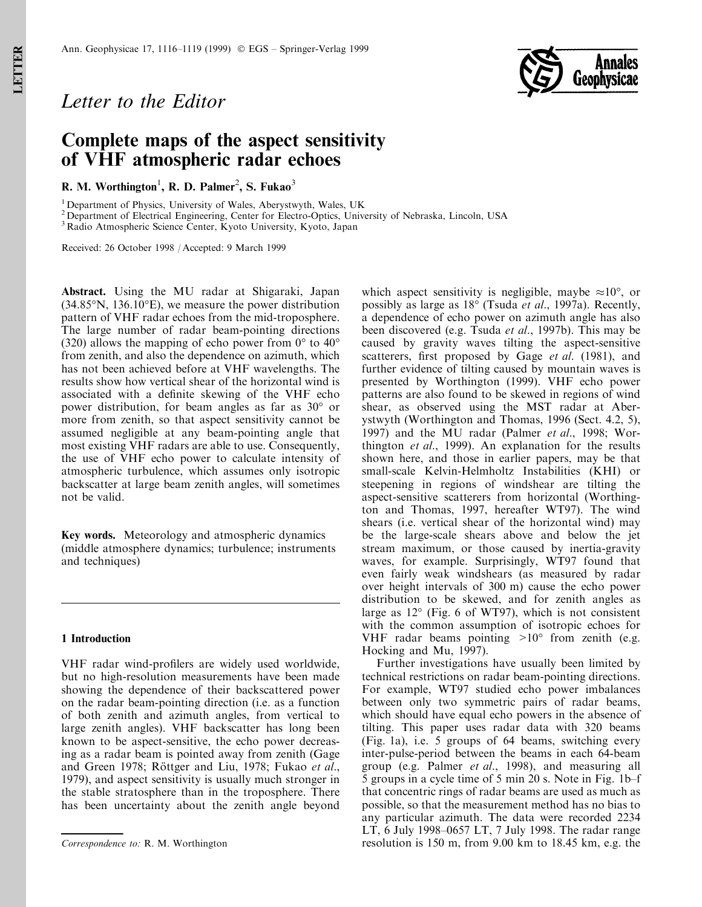

# Letter to the Editor

## Complete maps of the aspect sensitivity of VHF atmospheric radar echoes

R. M. Worthington<sup>1</sup>, R. D. Palmer<sup>2</sup>, S. Fukao<sup>3</sup>

<sup>1</sup> Department of Physics, University of Wales, Aberystwyth, Wales, UK

<sup>2</sup> Department of Electrical Engineering, Center for Electro-Optics, University of Nebraska, Lincoln, USA

<sup>3</sup> Radio Atmospheric Science Center, Kyoto University, Kyoto, Japan

Received: 26 October 1998 / Accepted: 9 March 1999

Abstract. Using the MU radar at Shigaraki, Japan (34.85°N, 136.10°E), we measure the power distribution pattern of VHF radar echoes from the mid-troposphere. The large number of radar beam-pointing directions (320) allows the mapping of echo power from  $0^{\circ}$  to  $40^{\circ}$ from zenith, and also the dependence on azimuth, which has not been achieved before at VHF wavelengths. The results show how vertical shear of the horizontal wind is associated with a definite skewing of the VHF echo power distribution, for beam angles as far as 30° or more from zenith, so that aspect sensitivity cannot be assumed negligible at any beam-pointing angle that most existing VHF radars are able to use. Consequently, the use of VHF echo power to calculate intensity of atmospheric turbulence, which assumes only isotropic backscatter at large beam zenith angles, will sometimes not be valid.

Key words. Meteorology and atmospheric dynamics (middle atmosphere dynamics; turbulence; instruments and techniques)

### 1 Introduction

VHF radar wind-profilers are widely used worldwide, but no high-resolution measurements have been made showing the dependence of their backscattered power on the radar beam-pointing direction (i.e. as a function of both zenith and azimuth angles, from vertical to large zenith angles). VHF backscatter has long been known to be aspect-sensitive, the echo power decreasing as a radar beam is pointed away from zenith (Gage and Green 1978; Röttger and Liu, 1978; Fukao et al., 1979), and aspect sensitivity is usually much stronger in the stable stratosphere than in the troposphere. There has been uncertainty about the zenith angle beyond which aspect sensitivity is negligible, maybe  $\approx 10^{\circ}$ , or possibly as large as 18° (Tsuda et al., 1997a). Recently, a dependence of echo power on azimuth angle has also been discovered (e.g. Tsuda et al., 1997b). This may be caused by gravity waves tilting the aspect-sensitive scatterers, first proposed by Gage *et al.* (1981), and further evidence of tilting caused by mountain waves is presented by Worthington (1999). VHF echo power patterns are also found to be skewed in regions of wind shear, as observed using the MST radar at Aberystwyth (Worthington and Thomas, 1996 (Sect. 4.2, 5), 1997) and the MU radar (Palmer et al., 1998; Worthington et al., 1999). An explanation for the results shown here, and those in earlier papers, may be that small-scale Kelvin-Helmholtz Instabilities (KHI) or steepening in regions of windshear are tilting the aspect-sensitive scatterers from horizontal (Worthington and Thomas, 1997, hereafter WT97). The wind shears (i.e. vertical shear of the horizontal wind) may be the large-scale shears above and below the jet stream maximum, or those caused by inertia-gravity waves, for example. Surprisingly, WT97 found that even fairly weak windshears (as measured by radar over height intervals of 300 m) cause the echo power distribution to be skewed, and for zenith angles as large as 12° (Fig. 6 of WT97), which is not consistent with the common assumption of isotropic echoes for VHF radar beams pointing  $>10^{\circ}$  from zenith (e.g. Hocking and Mu, 1997).

Further investigations have usually been limited by technical restrictions on radar beam-pointing directions. For example, WT97 studied echo power imbalances between only two symmetric pairs of radar beams, which should have equal echo powers in the absence of tilting. This paper uses radar data with 320 beams (Fig. 1a), i.e. 5 groups of 64 beams, switching every inter-pulse-period between the beams in each 64-beam group (e.g. Palmer et al., 1998), and measuring all 5 groups in a cycle time of 5 min 20 s. Note in Fig.  $1b-f$ that concentric rings of radar beams are used as much as possible, so that the measurement method has no bias to any particular azimuth. The data were recorded 2234 LT,  $\overline{6}$  July 1998–0657 LT, 7 July 1998. The radar range Correspondence to: R. M. Worthington resolution is 150 m, from 9.00 km to 18.45 km, e.g. the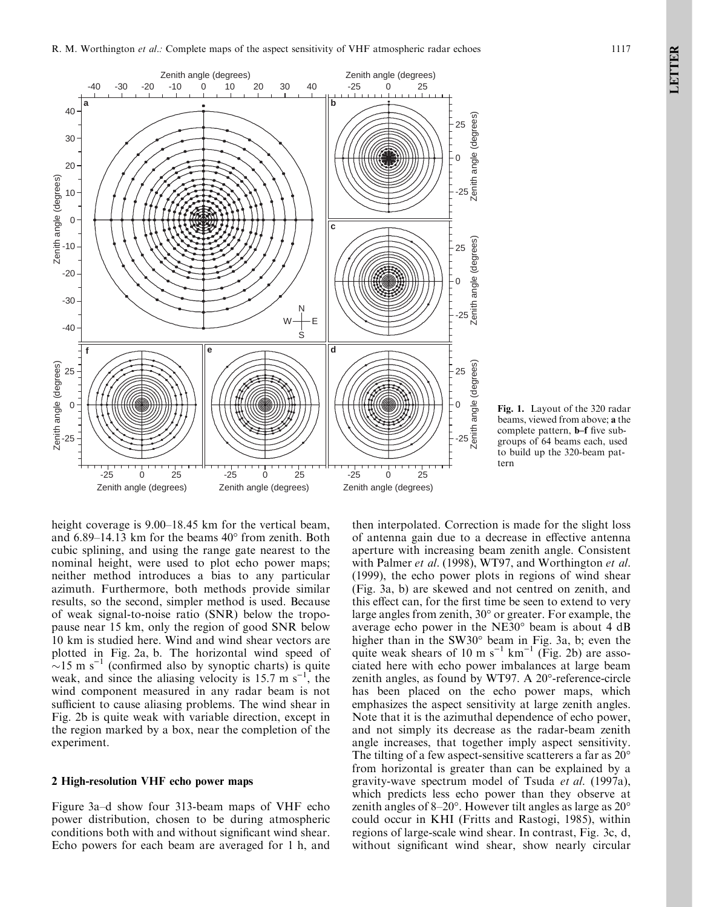

Fig. 1. Layout of the 320 radar beams, viewed from above; a the complete pattern, **b**-f five subgroups of 64 beams each, used to build up the 320-beam pattern

height coverage is  $9.00-18.45$  km for the vertical beam, and  $6.89-14.13$  km for the beams  $40^{\circ}$  from zenith. Both cubic splining, and using the range gate nearest to the nominal height, were used to plot echo power maps; neither method introduces a bias to any particular azimuth. Furthermore, both methods provide similar results, so the second, simpler method is used. Because of weak signal-to-noise ratio (SNR) below the tropopause near 15 km, only the region of good SNR below 10 km is studied here. Wind and wind shear vectors are plotted in Fig. 2a, b. The horizontal wind speed of  $\sim$ 15 m s<sup>-1</sup> (confirmed also by synoptic charts) is quite weak, and since the aliasing velocity is 15.7 m  $s^{-1}$ , the wind component measured in any radar beam is not sufficient to cause aliasing problems. The wind shear in Fig. 2b is quite weak with variable direction, except in the region marked by a box, near the completion of the experiment.

## 2 High-resolution VHF echo power maps

Figure 3a–d show four 313-beam maps of VHF echo power distribution, chosen to be during atmospheric conditions both with and without significant wind shear. Echo powers for each beam are averaged for 1 h, and

then interpolated. Correction is made for the slight loss of antenna gain due to a decrease in effective antenna aperture with increasing beam zenith angle. Consistent with Palmer et al. (1998), WT97, and Worthington et al. (1999), the echo power plots in regions of wind shear (Fig. 3a, b) are skewed and not centred on zenith, and this effect can, for the first time be seen to extend to very large angles from zenith, 30° or greater. For example, the average echo power in the NE30° beam is about 4 dB higher than in the SW30° beam in Fig. 3a, b; even the quite weak shears of 10 m s<sup>-1</sup> km<sup>-1</sup> (Fig. 2b) are associated here with echo power imbalances at large beam zenith angles, as found by WT97. A 20°-reference-circle has been placed on the echo power maps, which emphasizes the aspect sensitivity at large zenith angles. Note that it is the azimuthal dependence of echo power, and not simply its decrease as the radar-beam zenith angle increases, that together imply aspect sensitivity. The tilting of a few aspect-sensitive scatterers a far as 20° from horizontal is greater than can be explained by a gravity-wave spectrum model of Tsuda et al. (1997a), which predicts less echo power than they observe at zenith angles of  $8-20^\circ$ . However tilt angles as large as  $20^\circ$ could occur in KHI (Fritts and Rastogi, 1985), within regions of large-scale wind shear. In contrast, Fig. 3c, d, without significant wind shear, show nearly circular

LETTER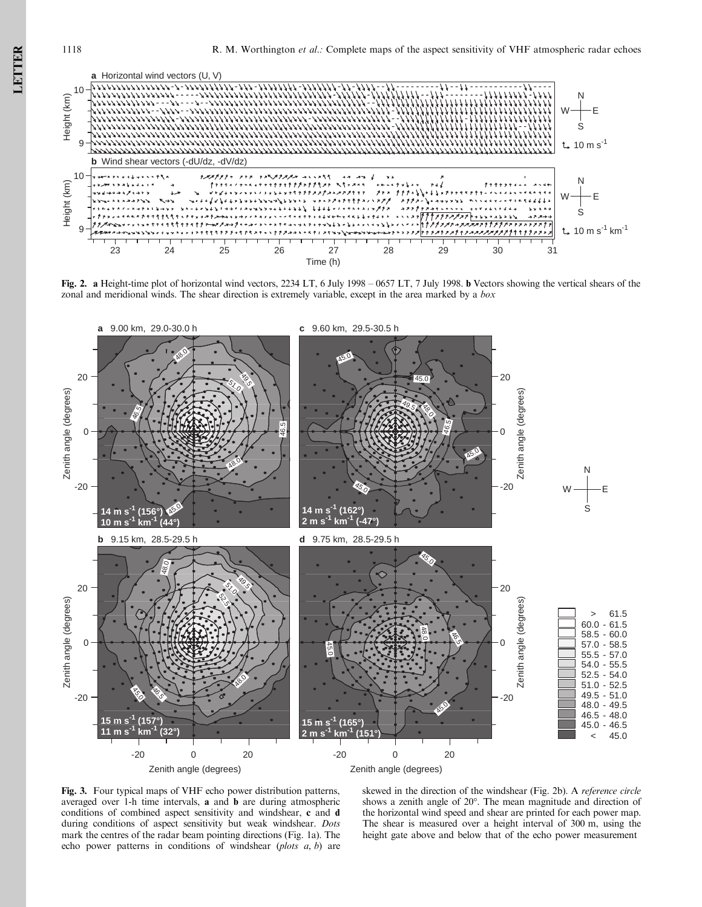

Fig. 2. a Height-time plot of horizontal wind vectors, 2234 LT, 6 July 1998 - 0657 LT, 7 July 1998. b Vectors showing the vertical shears of the zonal and meridional winds. The shear direction is extremely variable, except in the area marked by a box



Fig. 3. Four typical maps of VHF echo power distribution patterns, averaged over 1-h time intervals, a and b are during atmospheric conditions of combined aspect sensitivity and windshear, c and d during conditions of aspect sensitivity but weak windshear. Dots mark the centres of the radar beam pointing directions (Fig. 1a). The echo power patterns in conditions of windshear  $(plots \, a, b)$  are

skewed in the direction of the windshear (Fig. 2b). A reference circle shows a zenith angle of 20°. The mean magnitude and direction of the horizontal wind speed and shear are printed for each power map. The shear is measured over a height interval of 300 m, using the height gate above and below that of the echo power measurement

LETTER